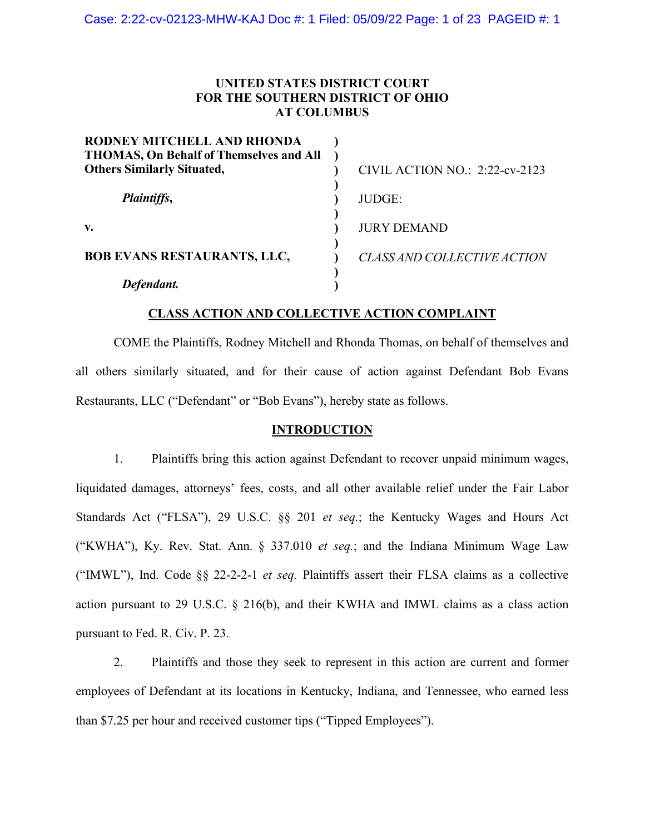## **UNITED STATES DISTRICT COURT FOR THE SOUTHERN DISTRICT OF OHIO AT COLUMBUS**

| RODNEY MITCHELL AND RHONDA<br><b>THOMAS, On Behalf of Themselves and All</b> |                                    |
|------------------------------------------------------------------------------|------------------------------------|
| <b>Others Similarly Situated,</b>                                            | CIVIL ACTION NO.: 2:22-cv-2123     |
| Plaintiffs,                                                                  | <b>JUDGE:</b>                      |
| V.                                                                           | <b>JURY DEMAND</b>                 |
| <b>BOB EVANS RESTAURANTS, LLC,</b>                                           | <b>CLASS AND COLLECTIVE ACTION</b> |
| Defendant.                                                                   |                                    |

## **CLASS ACTION AND COLLECTIVE ACTION COMPLAINT**

COME the Plaintiffs, Rodney Mitchell and Rhonda Thomas, on behalf of themselves and all others similarly situated, and for their cause of action against Defendant Bob Evans Restaurants, LLC ("Defendant" or "Bob Evans"), hereby state as follows.

### **INTRODUCTION**

1. Plaintiffs bring this action against Defendant to recover unpaid minimum wages, liquidated damages, attorneys' fees, costs, and all other available relief under the Fair Labor Standards Act ("FLSA"), 29 U.S.C. §§ 201 *et seq.*; the Kentucky Wages and Hours Act ("KWHA"), Ky. Rev. Stat. Ann. § 337.010 *et seq.*; and the Indiana Minimum Wage Law ("IMWL"), Ind. Code §§ 22-2-2-1 *et seq.* Plaintiffs assert their FLSA claims as a collective action pursuant to 29 U.S.C. § 216(b), and their KWHA and IMWL claims as a class action pursuant to Fed. R. Civ. P. 23.

2. Plaintiffs and those they seek to represent in this action are current and former employees of Defendant at its locations in Kentucky, Indiana, and Tennessee, who earned less than \$7.25 per hour and received customer tips ("Tipped Employees").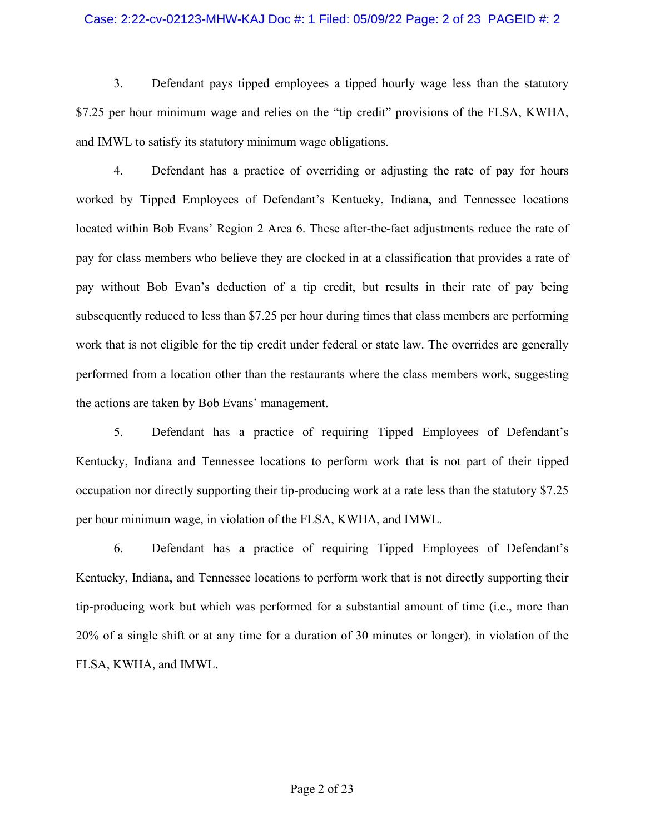### Case: 2:22-cv-02123-MHW-KAJ Doc #: 1 Filed: 05/09/22 Page: 2 of 23 PAGEID #: 2

3. Defendant pays tipped employees a tipped hourly wage less than the statutory \$7.25 per hour minimum wage and relies on the "tip credit" provisions of the FLSA, KWHA, and IMWL to satisfy its statutory minimum wage obligations.

4. Defendant has a practice of overriding or adjusting the rate of pay for hours worked by Tipped Employees of Defendant's Kentucky, Indiana, and Tennessee locations located within Bob Evans' Region 2 Area 6. These after-the-fact adjustments reduce the rate of pay for class members who believe they are clocked in at a classification that provides a rate of pay without Bob Evan's deduction of a tip credit, but results in their rate of pay being subsequently reduced to less than \$7.25 per hour during times that class members are performing work that is not eligible for the tip credit under federal or state law. The overrides are generally performed from a location other than the restaurants where the class members work, suggesting the actions are taken by Bob Evans' management.

5. Defendant has a practice of requiring Tipped Employees of Defendant's Kentucky, Indiana and Tennessee locations to perform work that is not part of their tipped occupation nor directly supporting their tip-producing work at a rate less than the statutory \$7.25 per hour minimum wage, in violation of the FLSA, KWHA, and IMWL.

6. Defendant has a practice of requiring Tipped Employees of Defendant's Kentucky, Indiana, and Tennessee locations to perform work that is not directly supporting their tip-producing work but which was performed for a substantial amount of time (i.e., more than 20% of a single shift or at any time for a duration of 30 minutes or longer), in violation of the FLSA, KWHA, and IMWL.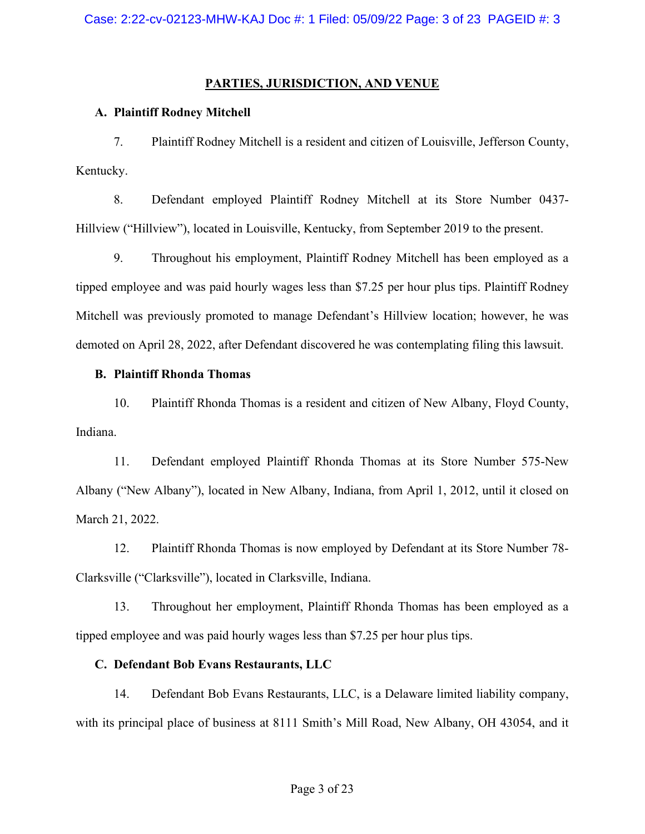# **PARTIES, JURISDICTION, AND VENUE**

# **A. Plaintiff Rodney Mitchell**

7. Plaintiff Rodney Mitchell is a resident and citizen of Louisville, Jefferson County, Kentucky.

8. Defendant employed Plaintiff Rodney Mitchell at its Store Number 0437- Hillview ("Hillview"), located in Louisville, Kentucky, from September 2019 to the present.

9. Throughout his employment, Plaintiff Rodney Mitchell has been employed as a tipped employee and was paid hourly wages less than \$7.25 per hour plus tips. Plaintiff Rodney Mitchell was previously promoted to manage Defendant's Hillview location; however, he was demoted on April 28, 2022, after Defendant discovered he was contemplating filing this lawsuit.

# **B. Plaintiff Rhonda Thomas**

10. Plaintiff Rhonda Thomas is a resident and citizen of New Albany, Floyd County, Indiana.

11. Defendant employed Plaintiff Rhonda Thomas at its Store Number 575-New Albany ("New Albany"), located in New Albany, Indiana, from April 1, 2012, until it closed on March 21, 2022.

12. Plaintiff Rhonda Thomas is now employed by Defendant at its Store Number 78- Clarksville ("Clarksville"), located in Clarksville, Indiana.

13. Throughout her employment, Plaintiff Rhonda Thomas has been employed as a tipped employee and was paid hourly wages less than \$7.25 per hour plus tips.

# **C. Defendant Bob Evans Restaurants, LLC**

14. Defendant Bob Evans Restaurants, LLC, is a Delaware limited liability company, with its principal place of business at 8111 Smith's Mill Road, New Albany, OH 43054, and it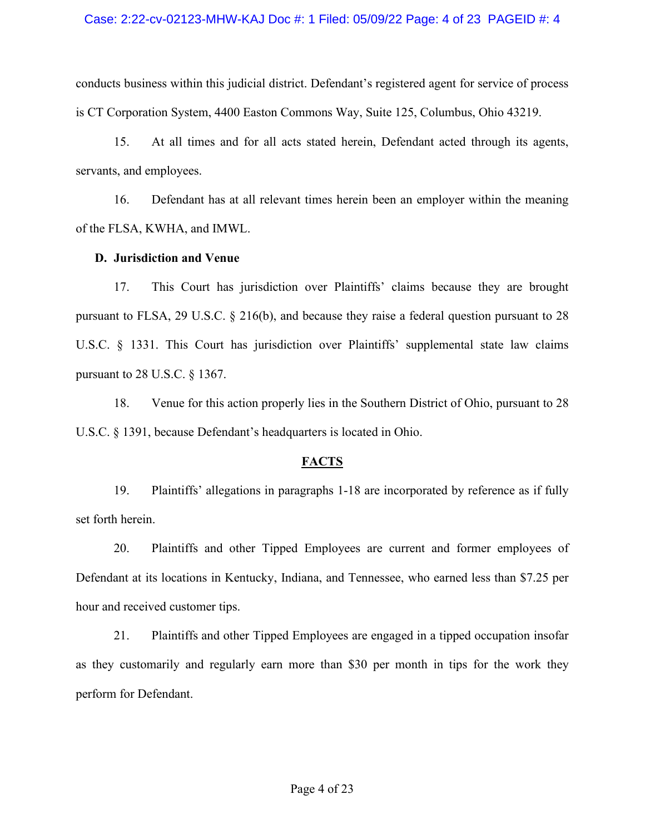### Case: 2:22-cv-02123-MHW-KAJ Doc #: 1 Filed: 05/09/22 Page: 4 of 23 PAGEID #: 4

conducts business within this judicial district. Defendant's registered agent for service of process is CT Corporation System, 4400 Easton Commons Way, Suite 125, Columbus, Ohio 43219.

15. At all times and for all acts stated herein, Defendant acted through its agents, servants, and employees.

16. Defendant has at all relevant times herein been an employer within the meaning of the FLSA, KWHA, and IMWL.

### **D. Jurisdiction and Venue**

17. This Court has jurisdiction over Plaintiffs' claims because they are brought pursuant to FLSA, 29 U.S.C. § 216(b), and because they raise a federal question pursuant to 28 U.S.C. § 1331. This Court has jurisdiction over Plaintiffs' supplemental state law claims pursuant to 28 U.S.C. § 1367.

18. Venue for this action properly lies in the Southern District of Ohio, pursuant to 28 U.S.C. § 1391, because Defendant's headquarters is located in Ohio.

## **FACTS**

19. Plaintiffs' allegations in paragraphs 1-18 are incorporated by reference as if fully set forth herein.

20. Plaintiffs and other Tipped Employees are current and former employees of Defendant at its locations in Kentucky, Indiana, and Tennessee, who earned less than \$7.25 per hour and received customer tips.

21. Plaintiffs and other Tipped Employees are engaged in a tipped occupation insofar as they customarily and regularly earn more than \$30 per month in tips for the work they perform for Defendant.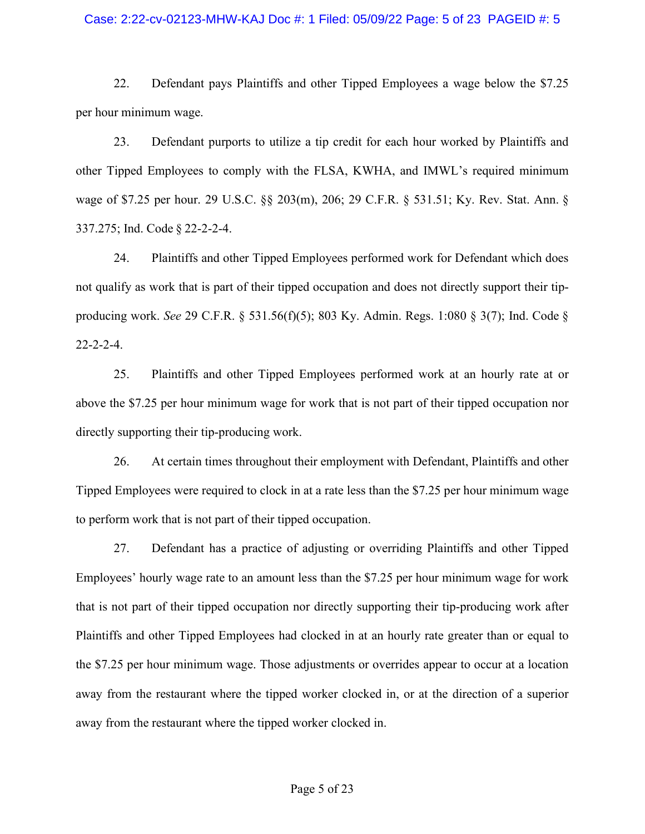### Case: 2:22-cv-02123-MHW-KAJ Doc #: 1 Filed: 05/09/22 Page: 5 of 23 PAGEID #: 5

22. Defendant pays Plaintiffs and other Tipped Employees a wage below the \$7.25 per hour minimum wage.

23. Defendant purports to utilize a tip credit for each hour worked by Plaintiffs and other Tipped Employees to comply with the FLSA, KWHA, and IMWL's required minimum wage of \$7.25 per hour. 29 U.S.C. §§ 203(m), 206; 29 C.F.R. § 531.51; Ky. Rev. Stat. Ann. § 337.275; Ind. Code § 22-2-2-4.

24. Plaintiffs and other Tipped Employees performed work for Defendant which does not qualify as work that is part of their tipped occupation and does not directly support their tipproducing work. *See* 29 C.F.R. § 531.56(f)(5); 803 Ky. Admin. Regs. 1:080 § 3(7); Ind. Code § 22-2-2-4.

25. Plaintiffs and other Tipped Employees performed work at an hourly rate at or above the \$7.25 per hour minimum wage for work that is not part of their tipped occupation nor directly supporting their tip-producing work.

26. At certain times throughout their employment with Defendant, Plaintiffs and other Tipped Employees were required to clock in at a rate less than the \$7.25 per hour minimum wage to perform work that is not part of their tipped occupation.

27. Defendant has a practice of adjusting or overriding Plaintiffs and other Tipped Employees' hourly wage rate to an amount less than the \$7.25 per hour minimum wage for work that is not part of their tipped occupation nor directly supporting their tip-producing work after Plaintiffs and other Tipped Employees had clocked in at an hourly rate greater than or equal to the \$7.25 per hour minimum wage. Those adjustments or overrides appear to occur at a location away from the restaurant where the tipped worker clocked in, or at the direction of a superior away from the restaurant where the tipped worker clocked in.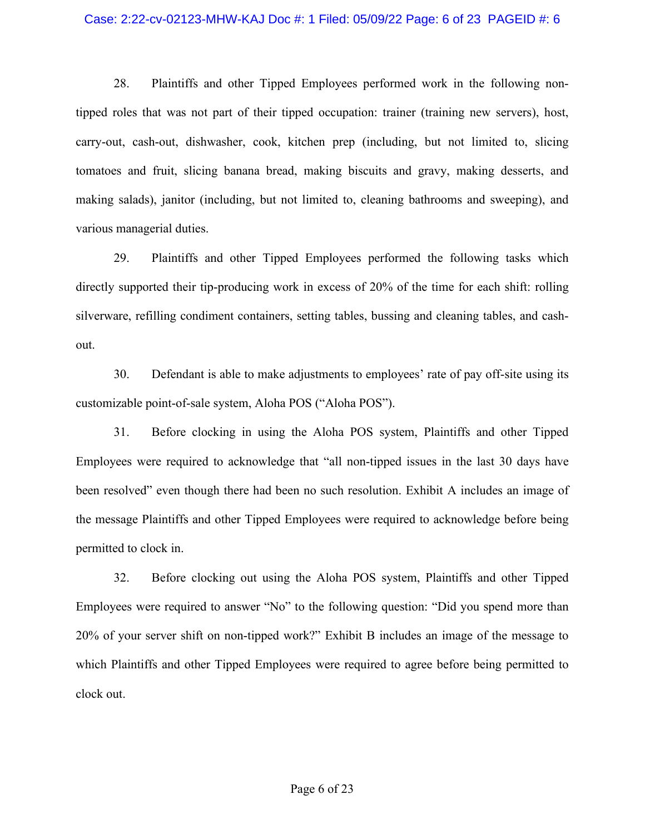### Case: 2:22-cv-02123-MHW-KAJ Doc #: 1 Filed: 05/09/22 Page: 6 of 23 PAGEID #: 6

28. Plaintiffs and other Tipped Employees performed work in the following nontipped roles that was not part of their tipped occupation: trainer (training new servers), host, carry-out, cash-out, dishwasher, cook, kitchen prep (including, but not limited to, slicing tomatoes and fruit, slicing banana bread, making biscuits and gravy, making desserts, and making salads), janitor (including, but not limited to, cleaning bathrooms and sweeping), and various managerial duties.

29. Plaintiffs and other Tipped Employees performed the following tasks which directly supported their tip-producing work in excess of 20% of the time for each shift: rolling silverware, refilling condiment containers, setting tables, bussing and cleaning tables, and cashout.

30. Defendant is able to make adjustments to employees' rate of pay off-site using its customizable point-of-sale system, Aloha POS ("Aloha POS").

31. Before clocking in using the Aloha POS system, Plaintiffs and other Tipped Employees were required to acknowledge that "all non-tipped issues in the last 30 days have been resolved" even though there had been no such resolution. Exhibit A includes an image of the message Plaintiffs and other Tipped Employees were required to acknowledge before being permitted to clock in.

32. Before clocking out using the Aloha POS system, Plaintiffs and other Tipped Employees were required to answer "No" to the following question: "Did you spend more than 20% of your server shift on non-tipped work?" Exhibit B includes an image of the message to which Plaintiffs and other Tipped Employees were required to agree before being permitted to clock out.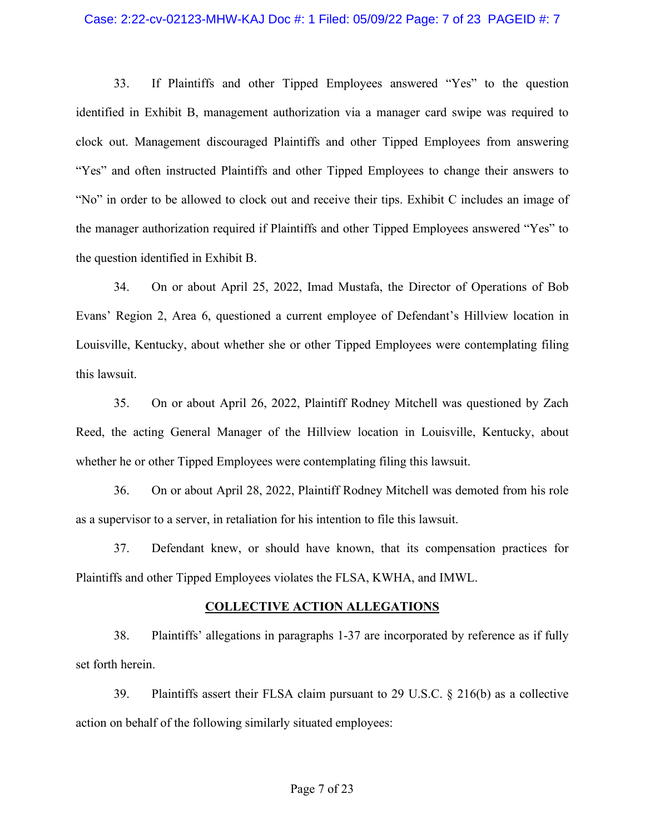### Case: 2:22-cv-02123-MHW-KAJ Doc #: 1 Filed: 05/09/22 Page: 7 of 23 PAGEID #: 7

33. If Plaintiffs and other Tipped Employees answered "Yes" to the question identified in Exhibit B, management authorization via a manager card swipe was required to clock out. Management discouraged Plaintiffs and other Tipped Employees from answering "Yes" and often instructed Plaintiffs and other Tipped Employees to change their answers to "No" in order to be allowed to clock out and receive their tips. Exhibit C includes an image of the manager authorization required if Plaintiffs and other Tipped Employees answered "Yes" to the question identified in Exhibit B.

34. On or about April 25, 2022, Imad Mustafa, the Director of Operations of Bob Evans' Region 2, Area 6, questioned a current employee of Defendant's Hillview location in Louisville, Kentucky, about whether she or other Tipped Employees were contemplating filing this lawsuit.

35. On or about April 26, 2022, Plaintiff Rodney Mitchell was questioned by Zach Reed, the acting General Manager of the Hillview location in Louisville, Kentucky, about whether he or other Tipped Employees were contemplating filing this lawsuit.

36. On or about April 28, 2022, Plaintiff Rodney Mitchell was demoted from his role as a supervisor to a server, in retaliation for his intention to file this lawsuit.

37. Defendant knew, or should have known, that its compensation practices for Plaintiffs and other Tipped Employees violates the FLSA, KWHA, and IMWL.

### **COLLECTIVE ACTION ALLEGATIONS**

38. Plaintiffs' allegations in paragraphs 1-37 are incorporated by reference as if fully set forth herein.

39. Plaintiffs assert their FLSA claim pursuant to 29 U.S.C. § 216(b) as a collective action on behalf of the following similarly situated employees: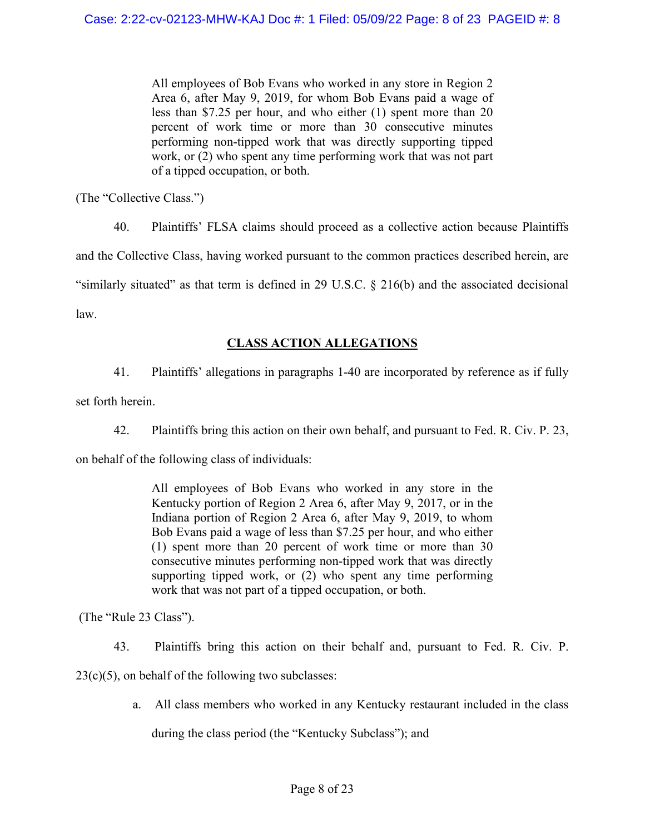All employees of Bob Evans who worked in any store in Region 2 Area 6, after May 9, 2019, for whom Bob Evans paid a wage of less than \$7.25 per hour, and who either (1) spent more than 20 percent of work time or more than 30 consecutive minutes performing non-tipped work that was directly supporting tipped work, or (2) who spent any time performing work that was not part of a tipped occupation, or both.

(The "Collective Class.")

40. Plaintiffs' FLSA claims should proceed as a collective action because Plaintiffs and the Collective Class, having worked pursuant to the common practices described herein, are "similarly situated" as that term is defined in 29 U.S.C. § 216(b) and the associated decisional law.

# **CLASS ACTION ALLEGATIONS**

41. Plaintiffs' allegations in paragraphs 1-40 are incorporated by reference as if fully

set forth herein.

42. Plaintiffs bring this action on their own behalf, and pursuant to Fed. R. Civ. P. 23,

on behalf of the following class of individuals:

All employees of Bob Evans who worked in any store in the Kentucky portion of Region 2 Area 6, after May 9, 2017, or in the Indiana portion of Region 2 Area 6, after May 9, 2019, to whom Bob Evans paid a wage of less than \$7.25 per hour, and who either (1) spent more than 20 percent of work time or more than 30 consecutive minutes performing non-tipped work that was directly supporting tipped work, or (2) who spent any time performing work that was not part of a tipped occupation, or both.

(The "Rule 23 Class").

43. Plaintiffs bring this action on their behalf and, pursuant to Fed. R. Civ. P.

 $23(c)(5)$ , on behalf of the following two subclasses:

a. All class members who worked in any Kentucky restaurant included in the class

during the class period (the "Kentucky Subclass"); and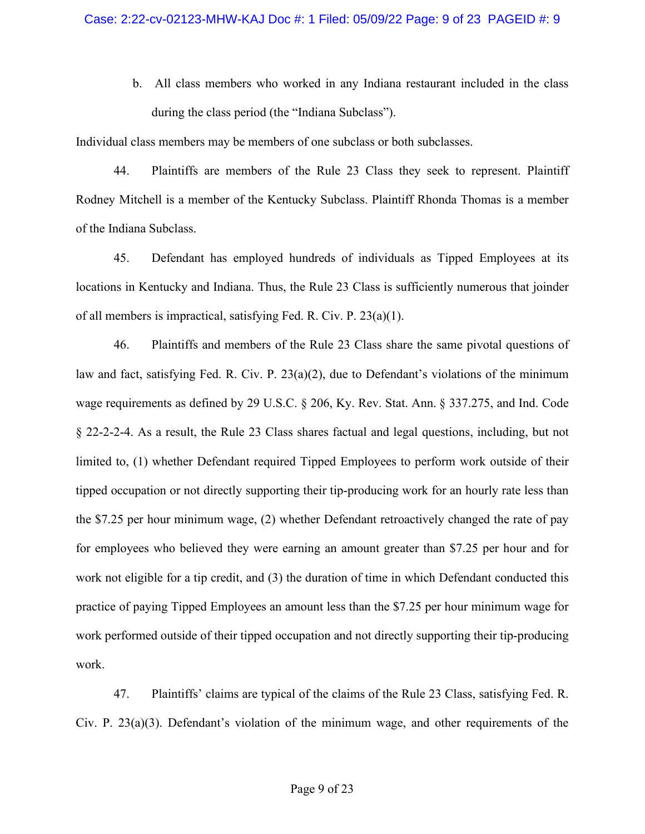b. All class members who worked in any Indiana restaurant included in the class during the class period (the "Indiana Subclass").

Individual class members may be members of one subclass or both subclasses.

44. Plaintiffs are members of the Rule 23 Class they seek to represent. Plaintiff Rodney Mitchell is a member of the Kentucky Subclass. Plaintiff Rhonda Thomas is a member of the Indiana Subclass.

45. Defendant has employed hundreds of individuals as Tipped Employees at its locations in Kentucky and Indiana. Thus, the Rule 23 Class is sufficiently numerous that joinder of all members is impractical, satisfying Fed. R. Civ. P. 23(a)(1).

46. Plaintiffs and members of the Rule 23 Class share the same pivotal questions of law and fact, satisfying Fed. R. Civ. P.  $23(a)(2)$ , due to Defendant's violations of the minimum wage requirements as defined by 29 U.S.C. § 206, Ky. Rev. Stat. Ann. § 337.275, and Ind. Code § 22-2-2-4. As a result, the Rule 23 Class shares factual and legal questions, including, but not limited to, (1) whether Defendant required Tipped Employees to perform work outside of their tipped occupation or not directly supporting their tip-producing work for an hourly rate less than the \$7.25 per hour minimum wage, (2) whether Defendant retroactively changed the rate of pay for employees who believed they were earning an amount greater than \$7.25 per hour and for work not eligible for a tip credit, and (3) the duration of time in which Defendant conducted this practice of paying Tipped Employees an amount less than the \$7.25 per hour minimum wage for work performed outside of their tipped occupation and not directly supporting their tip-producing work.

47. Plaintiffs' claims are typical of the claims of the Rule 23 Class, satisfying Fed. R. Civ. P. 23(a)(3). Defendant's violation of the minimum wage, and other requirements of the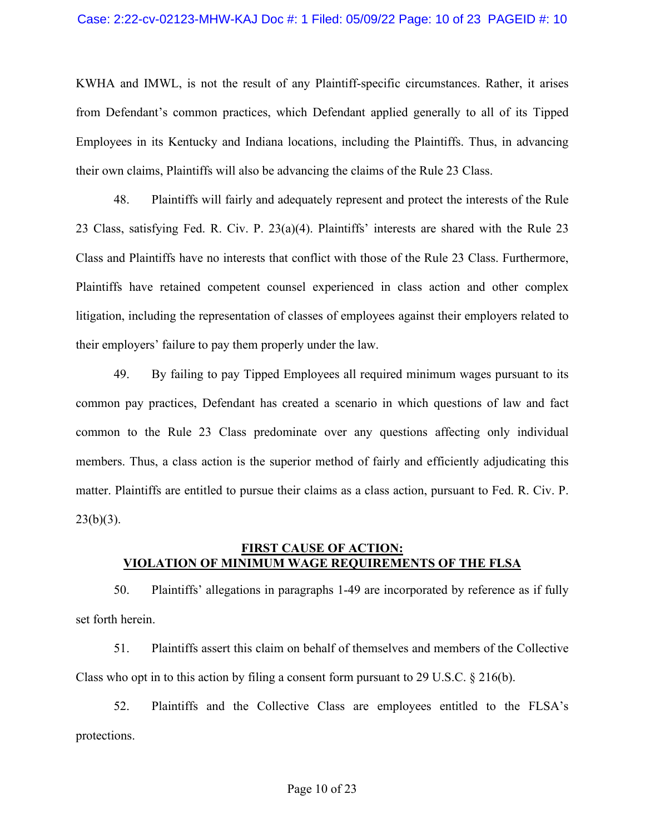KWHA and IMWL, is not the result of any Plaintiff-specific circumstances. Rather, it arises from Defendant's common practices, which Defendant applied generally to all of its Tipped Employees in its Kentucky and Indiana locations, including the Plaintiffs. Thus, in advancing their own claims, Plaintiffs will also be advancing the claims of the Rule 23 Class.

48. Plaintiffs will fairly and adequately represent and protect the interests of the Rule 23 Class, satisfying Fed. R. Civ. P. 23(a)(4). Plaintiffs' interests are shared with the Rule 23 Class and Plaintiffs have no interests that conflict with those of the Rule 23 Class. Furthermore, Plaintiffs have retained competent counsel experienced in class action and other complex litigation, including the representation of classes of employees against their employers related to their employers' failure to pay them properly under the law.

49. By failing to pay Tipped Employees all required minimum wages pursuant to its common pay practices, Defendant has created a scenario in which questions of law and fact common to the Rule 23 Class predominate over any questions affecting only individual members. Thus, a class action is the superior method of fairly and efficiently adjudicating this matter. Plaintiffs are entitled to pursue their claims as a class action, pursuant to Fed. R. Civ. P.  $23(b)(3)$ .

## **FIRST CAUSE OF ACTION: VIOLATION OF MINIMUM WAGE REQUIREMENTS OF THE FLSA**

50. Plaintiffs' allegations in paragraphs 1-49 are incorporated by reference as if fully set forth herein.

51. Plaintiffs assert this claim on behalf of themselves and members of the Collective Class who opt in to this action by filing a consent form pursuant to 29 U.S.C. § 216(b).

52. Plaintiffs and the Collective Class are employees entitled to the FLSA's protections.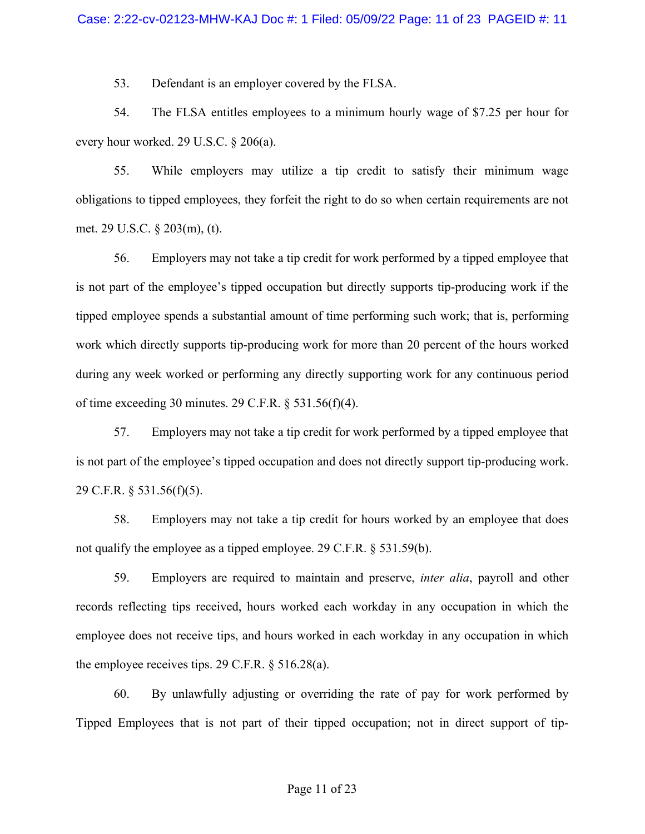53. Defendant is an employer covered by the FLSA.

54. The FLSA entitles employees to a minimum hourly wage of \$7.25 per hour for every hour worked. 29 U.S.C. § 206(a).

55. While employers may utilize a tip credit to satisfy their minimum wage obligations to tipped employees, they forfeit the right to do so when certain requirements are not met. 29 U.S.C. § 203(m), (t).

56. Employers may not take a tip credit for work performed by a tipped employee that is not part of the employee's tipped occupation but directly supports tip-producing work if the tipped employee spends a substantial amount of time performing such work; that is, performing work which directly supports tip-producing work for more than 20 percent of the hours worked during any week worked or performing any directly supporting work for any continuous period of time exceeding 30 minutes. 29 C.F.R. § 531.56(f)(4).

57. Employers may not take a tip credit for work performed by a tipped employee that is not part of the employee's tipped occupation and does not directly support tip-producing work. 29 C.F.R. § 531.56(f)(5).

58. Employers may not take a tip credit for hours worked by an employee that does not qualify the employee as a tipped employee. 29 C.F.R. § 531.59(b).

59. Employers are required to maintain and preserve, *inter alia*, payroll and other records reflecting tips received, hours worked each workday in any occupation in which the employee does not receive tips, and hours worked in each workday in any occupation in which the employee receives tips. 29 C.F.R.  $\S$  516.28(a).

60. By unlawfully adjusting or overriding the rate of pay for work performed by Tipped Employees that is not part of their tipped occupation; not in direct support of tip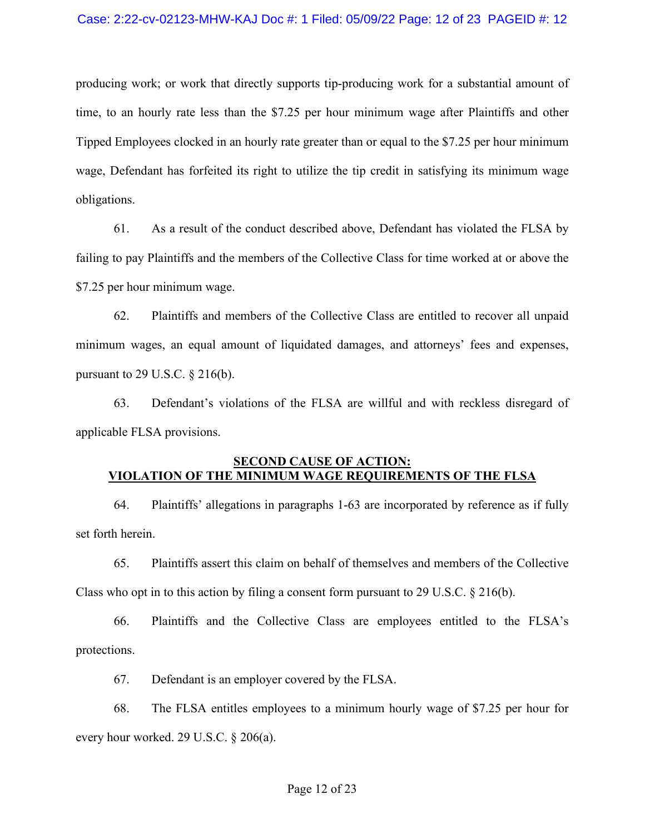producing work; or work that directly supports tip-producing work for a substantial amount of time, to an hourly rate less than the \$7.25 per hour minimum wage after Plaintiffs and other Tipped Employees clocked in an hourly rate greater than or equal to the \$7.25 per hour minimum wage, Defendant has forfeited its right to utilize the tip credit in satisfying its minimum wage obligations.

61. As a result of the conduct described above, Defendant has violated the FLSA by failing to pay Plaintiffs and the members of the Collective Class for time worked at or above the \$7.25 per hour minimum wage.

62. Plaintiffs and members of the Collective Class are entitled to recover all unpaid minimum wages, an equal amount of liquidated damages, and attorneys' fees and expenses, pursuant to 29 U.S.C.  $\S$  216(b).

63. Defendant's violations of the FLSA are willful and with reckless disregard of applicable FLSA provisions.

# **SECOND CAUSE OF ACTION: VIOLATION OF THE MINIMUM WAGE REQUIREMENTS OF THE FLSA**

64. Plaintiffs' allegations in paragraphs 1-63 are incorporated by reference as if fully set forth herein.

65. Plaintiffs assert this claim on behalf of themselves and members of the Collective Class who opt in to this action by filing a consent form pursuant to 29 U.S.C.  $\S$  216(b).

66. Plaintiffs and the Collective Class are employees entitled to the FLSA's protections.

67. Defendant is an employer covered by the FLSA.

68. The FLSA entitles employees to a minimum hourly wage of \$7.25 per hour for every hour worked. 29 U.S.C. § 206(a).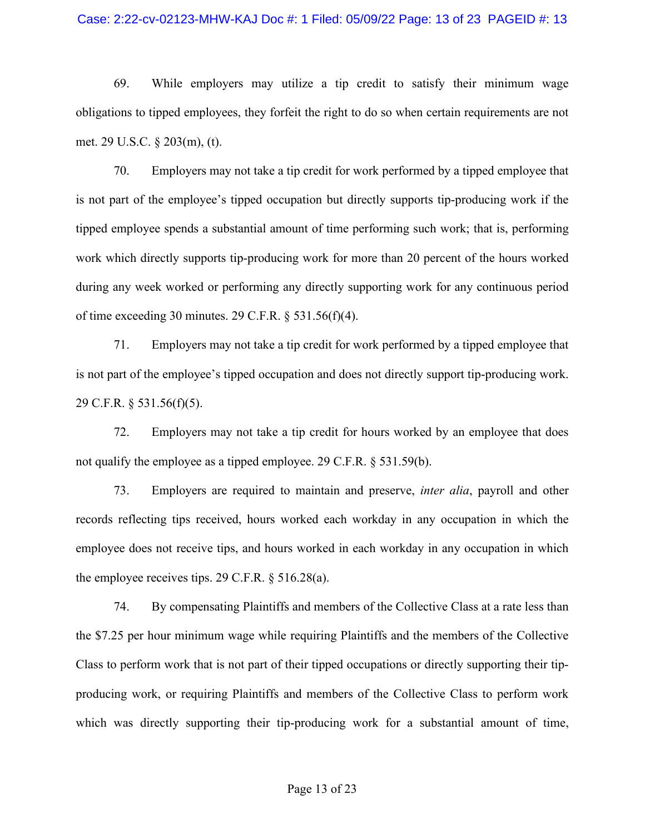### Case: 2:22-cv-02123-MHW-KAJ Doc #: 1 Filed: 05/09/22 Page: 13 of 23 PAGEID #: 13

69. While employers may utilize a tip credit to satisfy their minimum wage obligations to tipped employees, they forfeit the right to do so when certain requirements are not met. 29 U.S.C. § 203(m), (t).

70. Employers may not take a tip credit for work performed by a tipped employee that is not part of the employee's tipped occupation but directly supports tip-producing work if the tipped employee spends a substantial amount of time performing such work; that is, performing work which directly supports tip-producing work for more than 20 percent of the hours worked during any week worked or performing any directly supporting work for any continuous period of time exceeding 30 minutes. 29 C.F.R. § 531.56(f)(4).

71. Employers may not take a tip credit for work performed by a tipped employee that is not part of the employee's tipped occupation and does not directly support tip-producing work. 29 C.F.R. § 531.56(f)(5).

72. Employers may not take a tip credit for hours worked by an employee that does not qualify the employee as a tipped employee. 29 C.F.R. § 531.59(b).

73. Employers are required to maintain and preserve, *inter alia*, payroll and other records reflecting tips received, hours worked each workday in any occupation in which the employee does not receive tips, and hours worked in each workday in any occupation in which the employee receives tips. 29 C.F.R. § 516.28(a).

74. By compensating Plaintiffs and members of the Collective Class at a rate less than the \$7.25 per hour minimum wage while requiring Plaintiffs and the members of the Collective Class to perform work that is not part of their tipped occupations or directly supporting their tipproducing work, or requiring Plaintiffs and members of the Collective Class to perform work which was directly supporting their tip-producing work for a substantial amount of time,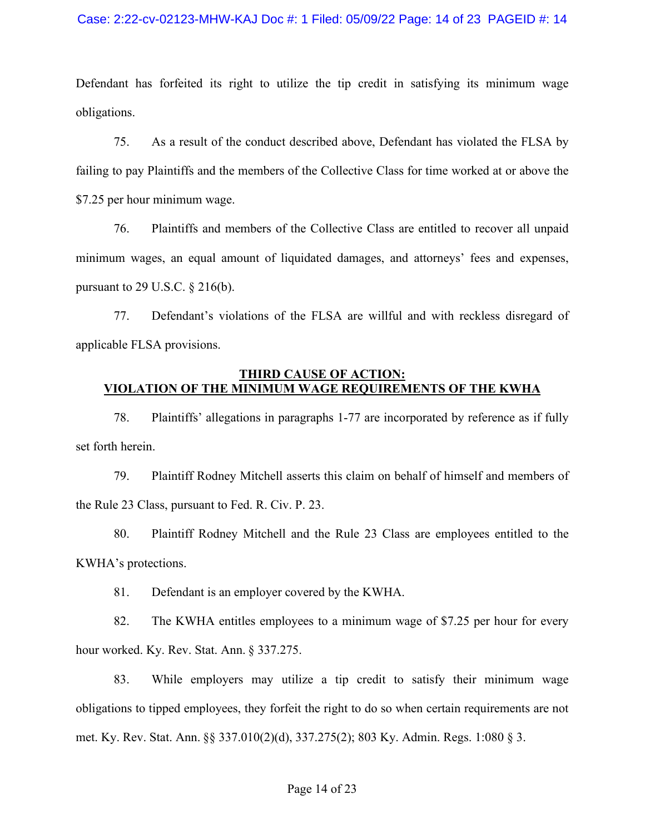### Case: 2:22-cv-02123-MHW-KAJ Doc #: 1 Filed: 05/09/22 Page: 14 of 23 PAGEID #: 14

Defendant has forfeited its right to utilize the tip credit in satisfying its minimum wage obligations.

75. As a result of the conduct described above, Defendant has violated the FLSA by failing to pay Plaintiffs and the members of the Collective Class for time worked at or above the \$7.25 per hour minimum wage.

76. Plaintiffs and members of the Collective Class are entitled to recover all unpaid minimum wages, an equal amount of liquidated damages, and attorneys' fees and expenses, pursuant to 29 U.S.C. § 216(b).

77. Defendant's violations of the FLSA are willful and with reckless disregard of applicable FLSA provisions.

## **THIRD CAUSE OF ACTION: VIOLATION OF THE MINIMUM WAGE REQUIREMENTS OF THE KWHA**

78. Plaintiffs' allegations in paragraphs 1-77 are incorporated by reference as if fully set forth herein.

79. Plaintiff Rodney Mitchell asserts this claim on behalf of himself and members of the Rule 23 Class, pursuant to Fed. R. Civ. P. 23.

80. Plaintiff Rodney Mitchell and the Rule 23 Class are employees entitled to the KWHA's protections.

81. Defendant is an employer covered by the KWHA.

82. The KWHA entitles employees to a minimum wage of \$7.25 per hour for every hour worked. Ky. Rev. Stat. Ann. § 337.275.

83. While employers may utilize a tip credit to satisfy their minimum wage obligations to tipped employees, they forfeit the right to do so when certain requirements are not met. Ky. Rev. Stat. Ann. §§ 337.010(2)(d), 337.275(2); 803 Ky. Admin. Regs. 1:080 § 3.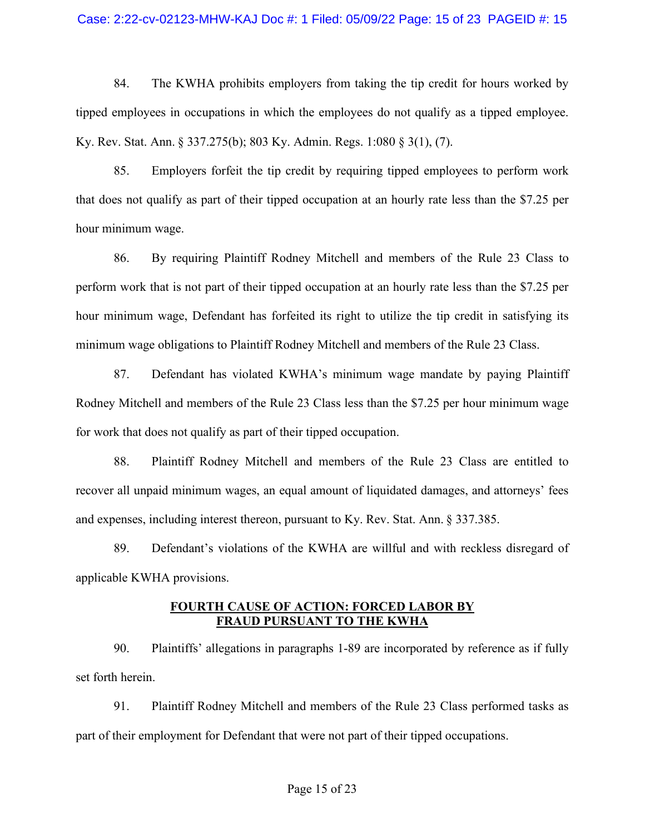### Case: 2:22-cv-02123-MHW-KAJ Doc #: 1 Filed: 05/09/22 Page: 15 of 23 PAGEID #: 15

84. The KWHA prohibits employers from taking the tip credit for hours worked by tipped employees in occupations in which the employees do not qualify as a tipped employee. Ky. Rev. Stat. Ann. § 337.275(b); 803 Ky. Admin. Regs. 1:080 § 3(1), (7).

85. Employers forfeit the tip credit by requiring tipped employees to perform work that does not qualify as part of their tipped occupation at an hourly rate less than the \$7.25 per hour minimum wage.

86. By requiring Plaintiff Rodney Mitchell and members of the Rule 23 Class to perform work that is not part of their tipped occupation at an hourly rate less than the \$7.25 per hour minimum wage, Defendant has forfeited its right to utilize the tip credit in satisfying its minimum wage obligations to Plaintiff Rodney Mitchell and members of the Rule 23 Class.

87. Defendant has violated KWHA's minimum wage mandate by paying Plaintiff Rodney Mitchell and members of the Rule 23 Class less than the \$7.25 per hour minimum wage for work that does not qualify as part of their tipped occupation.

88. Plaintiff Rodney Mitchell and members of the Rule 23 Class are entitled to recover all unpaid minimum wages, an equal amount of liquidated damages, and attorneys' fees and expenses, including interest thereon, pursuant to Ky. Rev. Stat. Ann. § 337.385.

89. Defendant's violations of the KWHA are willful and with reckless disregard of applicable KWHA provisions.

## **FOURTH CAUSE OF ACTION: FORCED LABOR BY FRAUD PURSUANT TO THE KWHA**

90. Plaintiffs' allegations in paragraphs 1-89 are incorporated by reference as if fully set forth herein.

91. Plaintiff Rodney Mitchell and members of the Rule 23 Class performed tasks as part of their employment for Defendant that were not part of their tipped occupations.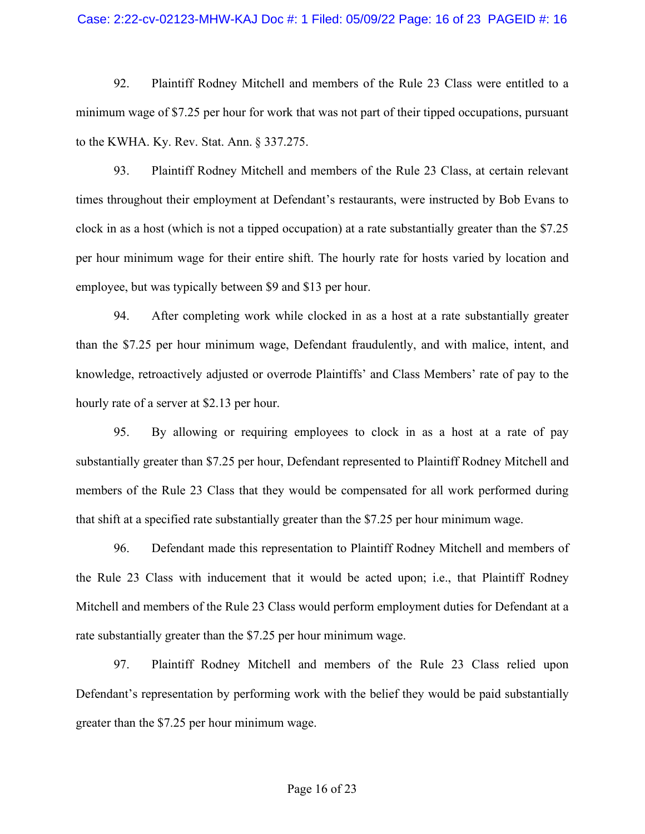### Case: 2:22-cv-02123-MHW-KAJ Doc #: 1 Filed: 05/09/22 Page: 16 of 23 PAGEID #: 16

92. Plaintiff Rodney Mitchell and members of the Rule 23 Class were entitled to a minimum wage of \$7.25 per hour for work that was not part of their tipped occupations, pursuant to the KWHA. Ky. Rev. Stat. Ann. § 337.275.

93. Plaintiff Rodney Mitchell and members of the Rule 23 Class, at certain relevant times throughout their employment at Defendant's restaurants, were instructed by Bob Evans to clock in as a host (which is not a tipped occupation) at a rate substantially greater than the \$7.25 per hour minimum wage for their entire shift. The hourly rate for hosts varied by location and employee, but was typically between \$9 and \$13 per hour.

94. After completing work while clocked in as a host at a rate substantially greater than the \$7.25 per hour minimum wage, Defendant fraudulently, and with malice, intent, and knowledge, retroactively adjusted or overrode Plaintiffs' and Class Members' rate of pay to the hourly rate of a server at \$2.13 per hour.

95. By allowing or requiring employees to clock in as a host at a rate of pay substantially greater than \$7.25 per hour, Defendant represented to Plaintiff Rodney Mitchell and members of the Rule 23 Class that they would be compensated for all work performed during that shift at a specified rate substantially greater than the \$7.25 per hour minimum wage.

96. Defendant made this representation to Plaintiff Rodney Mitchell and members of the Rule 23 Class with inducement that it would be acted upon; i.e., that Plaintiff Rodney Mitchell and members of the Rule 23 Class would perform employment duties for Defendant at a rate substantially greater than the \$7.25 per hour minimum wage.

97. Plaintiff Rodney Mitchell and members of the Rule 23 Class relied upon Defendant's representation by performing work with the belief they would be paid substantially greater than the \$7.25 per hour minimum wage.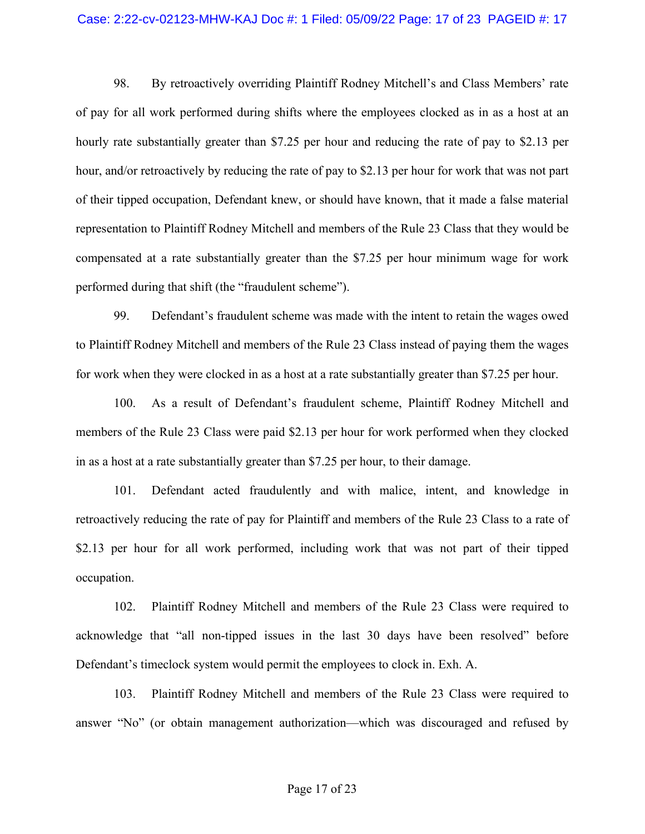### Case: 2:22-cv-02123-MHW-KAJ Doc #: 1 Filed: 05/09/22 Page: 17 of 23 PAGEID #: 17

98. By retroactively overriding Plaintiff Rodney Mitchell's and Class Members' rate of pay for all work performed during shifts where the employees clocked as in as a host at an hourly rate substantially greater than \$7.25 per hour and reducing the rate of pay to \$2.13 per hour, and/or retroactively by reducing the rate of pay to \$2.13 per hour for work that was not part of their tipped occupation, Defendant knew, or should have known, that it made a false material representation to Plaintiff Rodney Mitchell and members of the Rule 23 Class that they would be compensated at a rate substantially greater than the \$7.25 per hour minimum wage for work performed during that shift (the "fraudulent scheme").

99. Defendant's fraudulent scheme was made with the intent to retain the wages owed to Plaintiff Rodney Mitchell and members of the Rule 23 Class instead of paying them the wages for work when they were clocked in as a host at a rate substantially greater than \$7.25 per hour.

100. As a result of Defendant's fraudulent scheme, Plaintiff Rodney Mitchell and members of the Rule 23 Class were paid \$2.13 per hour for work performed when they clocked in as a host at a rate substantially greater than \$7.25 per hour, to their damage.

101. Defendant acted fraudulently and with malice, intent, and knowledge in retroactively reducing the rate of pay for Plaintiff and members of the Rule 23 Class to a rate of \$2.13 per hour for all work performed, including work that was not part of their tipped occupation.

102. Plaintiff Rodney Mitchell and members of the Rule 23 Class were required to acknowledge that "all non-tipped issues in the last 30 days have been resolved" before Defendant's timeclock system would permit the employees to clock in. Exh. A.

103. Plaintiff Rodney Mitchell and members of the Rule 23 Class were required to answer "No" (or obtain management authorization—which was discouraged and refused by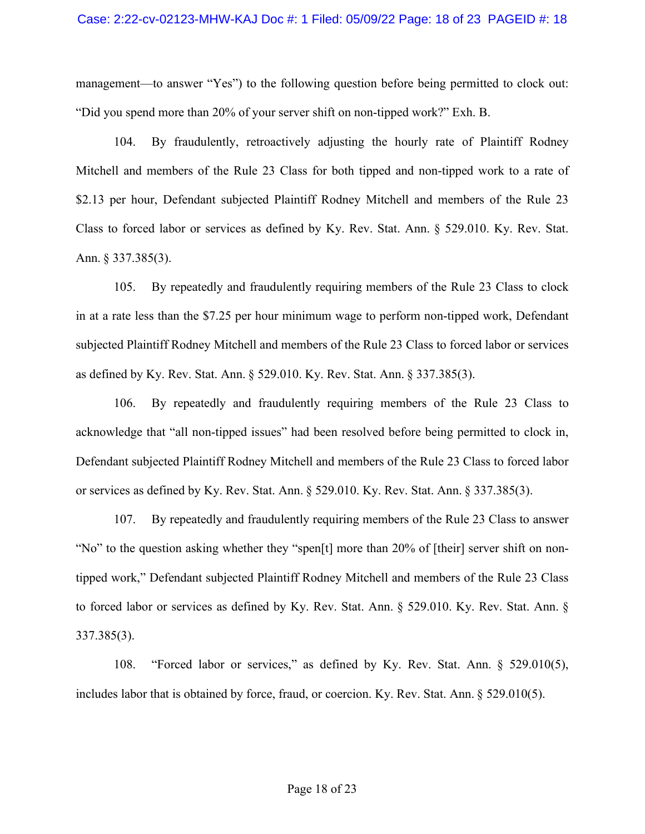management—to answer "Yes") to the following question before being permitted to clock out: "Did you spend more than 20% of your server shift on non-tipped work?" Exh. B.

104. By fraudulently, retroactively adjusting the hourly rate of Plaintiff Rodney Mitchell and members of the Rule 23 Class for both tipped and non-tipped work to a rate of \$2.13 per hour, Defendant subjected Plaintiff Rodney Mitchell and members of the Rule 23 Class to forced labor or services as defined by Ky. Rev. Stat. Ann. § 529.010. Ky. Rev. Stat. Ann. § 337.385(3).

105. By repeatedly and fraudulently requiring members of the Rule 23 Class to clock in at a rate less than the \$7.25 per hour minimum wage to perform non-tipped work, Defendant subjected Plaintiff Rodney Mitchell and members of the Rule 23 Class to forced labor or services as defined by Ky. Rev. Stat. Ann. § 529.010. Ky. Rev. Stat. Ann. § 337.385(3).

106. By repeatedly and fraudulently requiring members of the Rule 23 Class to acknowledge that "all non-tipped issues" had been resolved before being permitted to clock in, Defendant subjected Plaintiff Rodney Mitchell and members of the Rule 23 Class to forced labor or services as defined by Ky. Rev. Stat. Ann. § 529.010. Ky. Rev. Stat. Ann. § 337.385(3).

107. By repeatedly and fraudulently requiring members of the Rule 23 Class to answer "No" to the question asking whether they "spen[t] more than 20% of [their] server shift on nontipped work," Defendant subjected Plaintiff Rodney Mitchell and members of the Rule 23 Class to forced labor or services as defined by Ky. Rev. Stat. Ann. § 529.010. Ky. Rev. Stat. Ann. § 337.385(3).

108. "Forced labor or services," as defined by Ky. Rev. Stat. Ann. § 529.010(5), includes labor that is obtained by force, fraud, or coercion. Ky. Rev. Stat. Ann. § 529.010(5).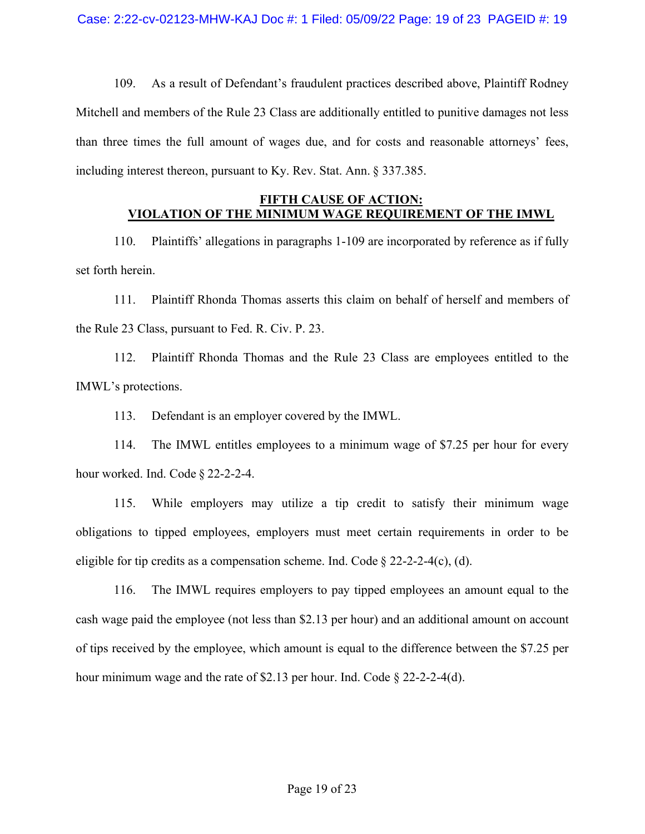109. As a result of Defendant's fraudulent practices described above, Plaintiff Rodney Mitchell and members of the Rule 23 Class are additionally entitled to punitive damages not less than three times the full amount of wages due, and for costs and reasonable attorneys' fees, including interest thereon, pursuant to Ky. Rev. Stat. Ann. § 337.385.

# **FIFTH CAUSE OF ACTION: VIOLATION OF THE MINIMUM WAGE REQUIREMENT OF THE IMWL**

110. Plaintiffs' allegations in paragraphs 1-109 are incorporated by reference as if fully set forth herein.

111. Plaintiff Rhonda Thomas asserts this claim on behalf of herself and members of the Rule 23 Class, pursuant to Fed. R. Civ. P. 23.

112. Plaintiff Rhonda Thomas and the Rule 23 Class are employees entitled to the IMWL's protections.

113. Defendant is an employer covered by the IMWL.

114. The IMWL entitles employees to a minimum wage of \$7.25 per hour for every hour worked. Ind. Code § 22-2-2-4.

115. While employers may utilize a tip credit to satisfy their minimum wage obligations to tipped employees, employers must meet certain requirements in order to be eligible for tip credits as a compensation scheme. Ind. Code  $\S 22-2-2-4(c)$ , (d).

116. The IMWL requires employers to pay tipped employees an amount equal to the cash wage paid the employee (not less than \$2.13 per hour) and an additional amount on account of tips received by the employee, which amount is equal to the difference between the \$7.25 per hour minimum wage and the rate of \$2.13 per hour. Ind. Code § 22-2-2-4(d).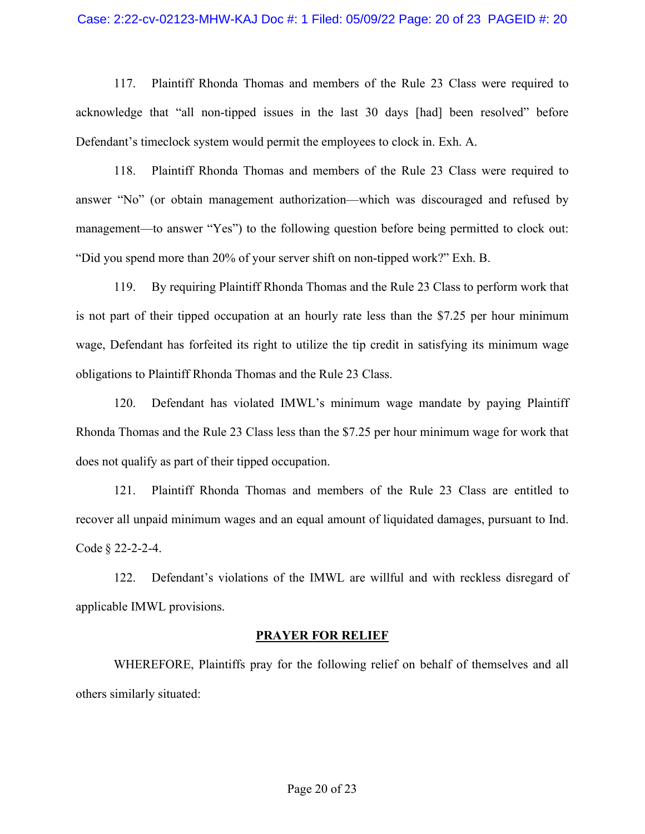### Case: 2:22-cv-02123-MHW-KAJ Doc #: 1 Filed: 05/09/22 Page: 20 of 23 PAGEID #: 20

117. Plaintiff Rhonda Thomas and members of the Rule 23 Class were required to acknowledge that "all non-tipped issues in the last 30 days [had] been resolved" before Defendant's timeclock system would permit the employees to clock in. Exh. A.

118. Plaintiff Rhonda Thomas and members of the Rule 23 Class were required to answer "No" (or obtain management authorization—which was discouraged and refused by management—to answer "Yes") to the following question before being permitted to clock out: "Did you spend more than 20% of your server shift on non-tipped work?" Exh. B.

119. By requiring Plaintiff Rhonda Thomas and the Rule 23 Class to perform work that is not part of their tipped occupation at an hourly rate less than the \$7.25 per hour minimum wage, Defendant has forfeited its right to utilize the tip credit in satisfying its minimum wage obligations to Plaintiff Rhonda Thomas and the Rule 23 Class.

120. Defendant has violated IMWL's minimum wage mandate by paying Plaintiff Rhonda Thomas and the Rule 23 Class less than the \$7.25 per hour minimum wage for work that does not qualify as part of their tipped occupation.

121. Plaintiff Rhonda Thomas and members of the Rule 23 Class are entitled to recover all unpaid minimum wages and an equal amount of liquidated damages, pursuant to Ind. Code § 22-2-2-4.

122. Defendant's violations of the IMWL are willful and with reckless disregard of applicable IMWL provisions.

#### **PRAYER FOR RELIEF**

WHEREFORE, Plaintiffs pray for the following relief on behalf of themselves and all others similarly situated: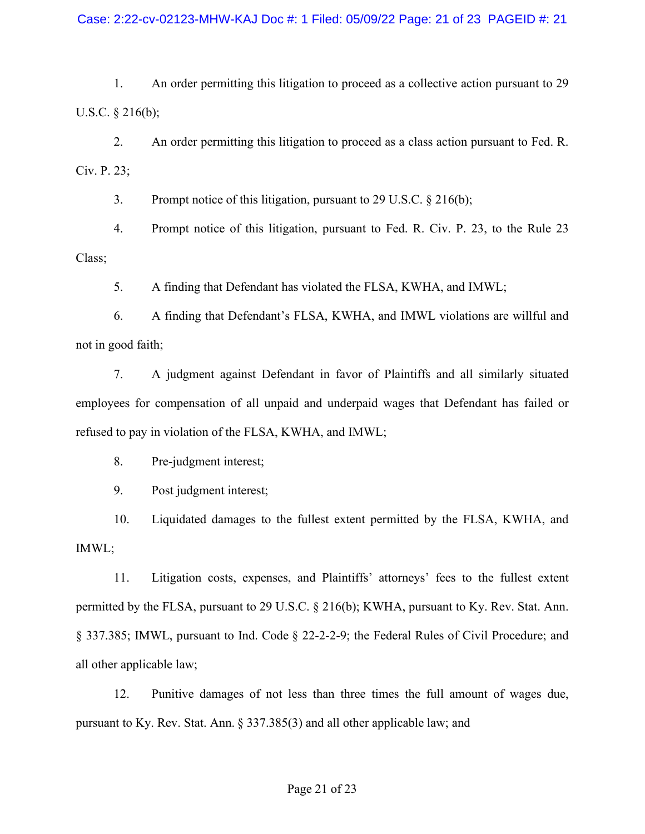1. An order permitting this litigation to proceed as a collective action pursuant to 29 U.S.C. § 216(b);

2. An order permitting this litigation to proceed as a class action pursuant to Fed. R. Civ. P. 23;

3. Prompt notice of this litigation, pursuant to 29 U.S.C. § 216(b);

4. Prompt notice of this litigation, pursuant to Fed. R. Civ. P. 23, to the Rule 23 Class;

5. A finding that Defendant has violated the FLSA, KWHA, and IMWL;

6. A finding that Defendant's FLSA, KWHA, and IMWL violations are willful and not in good faith;

7. A judgment against Defendant in favor of Plaintiffs and all similarly situated employees for compensation of all unpaid and underpaid wages that Defendant has failed or refused to pay in violation of the FLSA, KWHA, and IMWL;

8. Pre-judgment interest;

9. Post judgment interest;

10. Liquidated damages to the fullest extent permitted by the FLSA, KWHA, and IMWL;

11. Litigation costs, expenses, and Plaintiffs' attorneys' fees to the fullest extent permitted by the FLSA, pursuant to 29 U.S.C. § 216(b); KWHA, pursuant to Ky. Rev. Stat. Ann. § 337.385; IMWL, pursuant to Ind. Code § 22-2-2-9; the Federal Rules of Civil Procedure; and all other applicable law;

12. Punitive damages of not less than three times the full amount of wages due, pursuant to Ky. Rev. Stat. Ann. § 337.385(3) and all other applicable law; and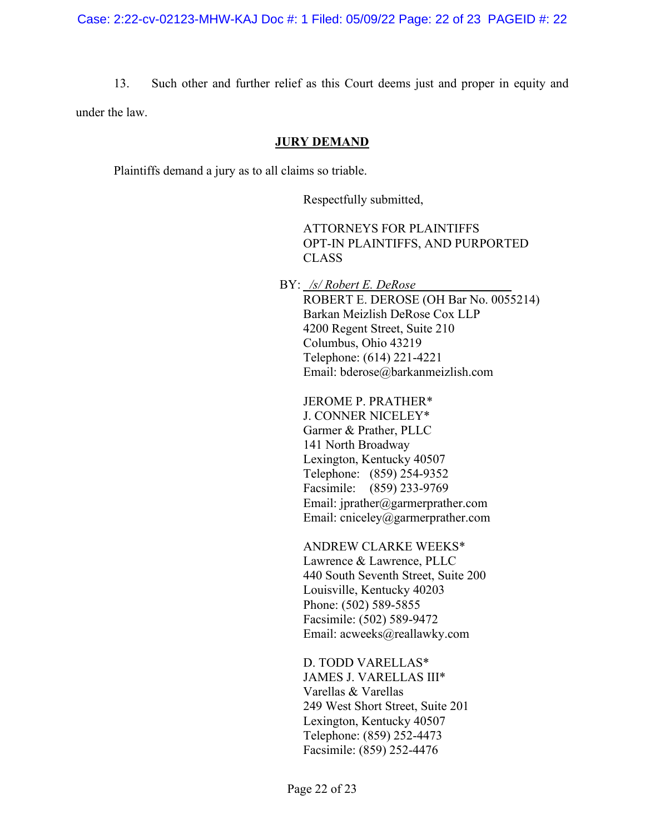13. Such other and further relief as this Court deems just and proper in equity and under the law.

### **JURY DEMAND**

Plaintiffs demand a jury as to all claims so triable.

Respectfully submitted,

ATTORNEYS FOR PLAINTIFFS OPT-IN PLAINTIFFS, AND PURPORTED CLASS

BY: */s/ Robert E. DeRose* ROBERT E. DEROSE (OH Bar No. 0055214) Barkan Meizlish DeRose Cox LLP 4200 Regent Street, Suite 210 Columbus, Ohio 43219 Telephone: (614) 221-4221 Email: bderose@barkanmeizlish.com

JEROME P. PRATHER\* J. CONNER NICELEY\* Garmer & Prather, PLLC 141 North Broadway Lexington, Kentucky 40507 Telephone: (859) 254-9352 Facsimile: (859) 233-9769 Email: jprather@garmerprather.com Email: cniceley@garmerprather.com

ANDREW CLARKE WEEKS\* Lawrence & Lawrence, PLLC 440 South Seventh Street, Suite 200 Louisville, Kentucky 40203 Phone: (502) 589-5855 Facsimile: (502) 589-9472 Email: acweeks@reallawky.com

D. TODD VARELLAS\* JAMES J. VARELLAS III\* Varellas & Varellas 249 West Short Street, Suite 201 Lexington, Kentucky 40507 Telephone: (859) 252-4473 Facsimile: (859) 252-4476